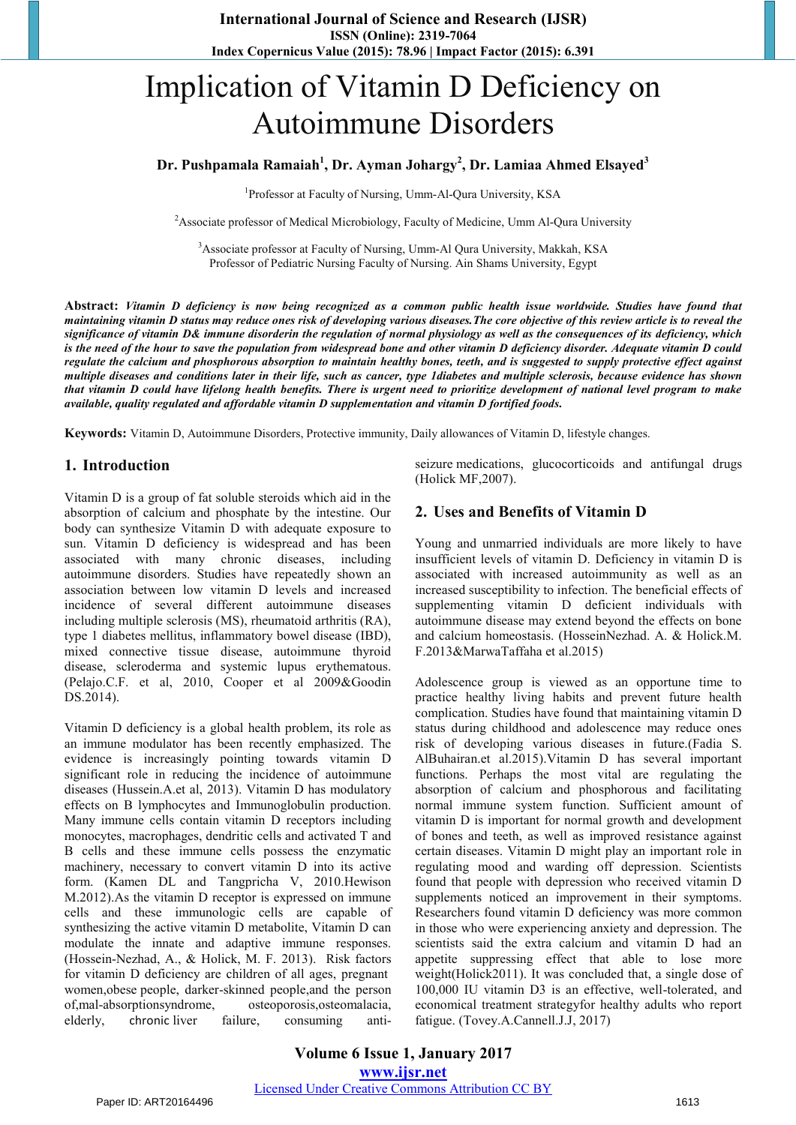# Implication of Vitamin D Deficiency on Autoimmune Disorders

### **Dr. Pushpamala Ramaiah1 , Dr. Ayman Johargy<sup>2</sup> , Dr. Lamiaa Ahmed Elsayed<sup>3</sup>**

1 Professor at Faculty of Nursing, Umm-Al-Qura University, KSA

<sup>2</sup> Associate professor of Medical Microbiology, Faculty of Medicine, Umm Al-Qura University

<sup>3</sup> Associate professor at Faculty of Nursing, Umm-Al Qura University, Makkah, KSA Professor of Pediatric Nursing Faculty of Nursing. Ain Shams University, Egypt

**Abstract:** *Vitamin D deficiency is now being recognized as a common public health issue worldwide. Studies have found that maintaining vitamin D status may reduce ones risk of developing various diseases.The core objective of this review article is to reveal the significance of vitamin D& immune disorderin the regulation of normal physiology as well as the consequences of its deficiency, which is the need of the hour to save the population from widespread bone and other vitamin D deficiency disorder. Adequate vitamin D could regulate the calcium and phosphorous absorption to maintain healthy bones, teeth, and is suggested to supply protective effect against multiple diseases and conditions later in their life, such as cancer, type 1diabetes and multiple sclerosis, because evidence has shown that vitamin D could have lifelong health benefits. There is urgent need to prioritize development of national level program to make available, quality regulated and affordable vitamin D supplementation and vitamin D fortified foods.* 

**Keywords:** Vitamin D, Autoimmune Disorders, Protective immunity, Daily allowances of Vitamin D, lifestyle changes.

#### **1. Introduction**

Vitamin D is a group of fat soluble steroids which aid in the absorption of calcium and phosphate by the intestine. Our body can synthesize Vitamin D with adequate exposure to sun. Vitamin D deficiency is widespread and has been associated with many chronic diseases, including autoimmune disorders. Studies have repeatedly shown an association between low vitamin D levels and increased incidence of several different autoimmune diseases including multiple sclerosis (MS), rheumatoid arthritis (RA), type 1 diabetes mellitus, inflammatory bowel disease (IBD), mixed connective tissue disease, autoimmune thyroid disease, scleroderma and systemic lupus erythematous. (Pelajo.C.F. et al, 2010, Cooper et al 2009&Goodin DS.2014).

Vitamin D deficiency is a global health problem, its role as an immune modulator has been recently emphasized. The evidence is increasingly pointing towards vitamin D significant role in reducing the incidence of autoimmune diseases (Hussein.A.et al, 2013). Vitamin D has modulatory effects on B lymphocytes and Immunoglobulin production. Many immune cells contain vitamin D receptors including monocytes, macrophages, dendritic cells and activated T and B cells and these immune cells possess the enzymatic machinery, necessary to convert vitamin D into its active form. (Kamen DL and Tangpricha V, 2010.Hewison M.2012).As the vitamin D receptor is expressed on immune cells and these immunologic cells are capable of synthesizing the active vitamin D metabolite, Vitamin D can modulate the innate and adaptive immune responses. (Hossein-Nezhad, A., & Holick, M. F. 2013). Risk factors for vitamin D deficiency are children of all ages, pregnant women[,obese](http://www.webmd.com/diet/obesity/features/am-i-obese) people, darker-skinned people,and the person of[,mal-absorptionsyndrome,](http://www.webmd.com/ibd-crohns-disease/whipple-disease) [osteoporosis,](http://www.webmd.com/osteoporosis/default.htm)osteomalacia, elderly, chronic [liver failure,](http://www.webmd.com/digestive-disorders/digestive-diseases-liver-failure) consuming antiseizure [medications,](http://www.webmd.com/drugs/index-drugs.aspx) glucocorticoids and antifungal drugs (Holick MF,2007).

#### **2. Uses and Benefits of Vitamin D**

Young and unmarried individuals are more likely to have insufficient levels of vitamin D. Deficiency in vitamin D is associated with increased autoimmunity as well as an increased susceptibility to infection. The beneficial effects of supplementing vitamin D deficient individuals with autoimmune disease may extend beyond the effects on bone and calcium homeostasis. (HosseinNezhad. A. & Holick.M. F.2013&MarwaTaffaha et al.2015)

Adolescence group is viewed as an opportune time to practice healthy living habits and prevent future health complication. Studies have found that maintaining vitamin D status during childhood and adolescence may reduce ones risk of developing various diseases in future.(Fadia S. AlBuhairan.et al.2015).Vitamin D has several important functions. Perhaps the most vital are regulating the absorption of calcium and phosphorous and facilitating normal immune system function. Sufficient amount of vitamin D is important for normal growth and development of bones and teeth, as well as improved resistance against certain diseases. Vitamin D might play an important role in regulating mood and warding off depression. Scientists found that people with depression who received vitamin D supplements noticed an improvement in their symptoms. Researchers found vitamin D deficiency was more common in those who were experiencing anxiety and depression. The scientists said the extra calcium and vitamin D had an appetite suppressing effect that able to lose more weight(Holick2011). It was concluded that, a single dose of 100,000 IU vitamin D3 is an effective, well-tolerated, and economical treatment strategyfor healthy adults who report fatigue. (Tovey.A.Cannell.J.J, 2017)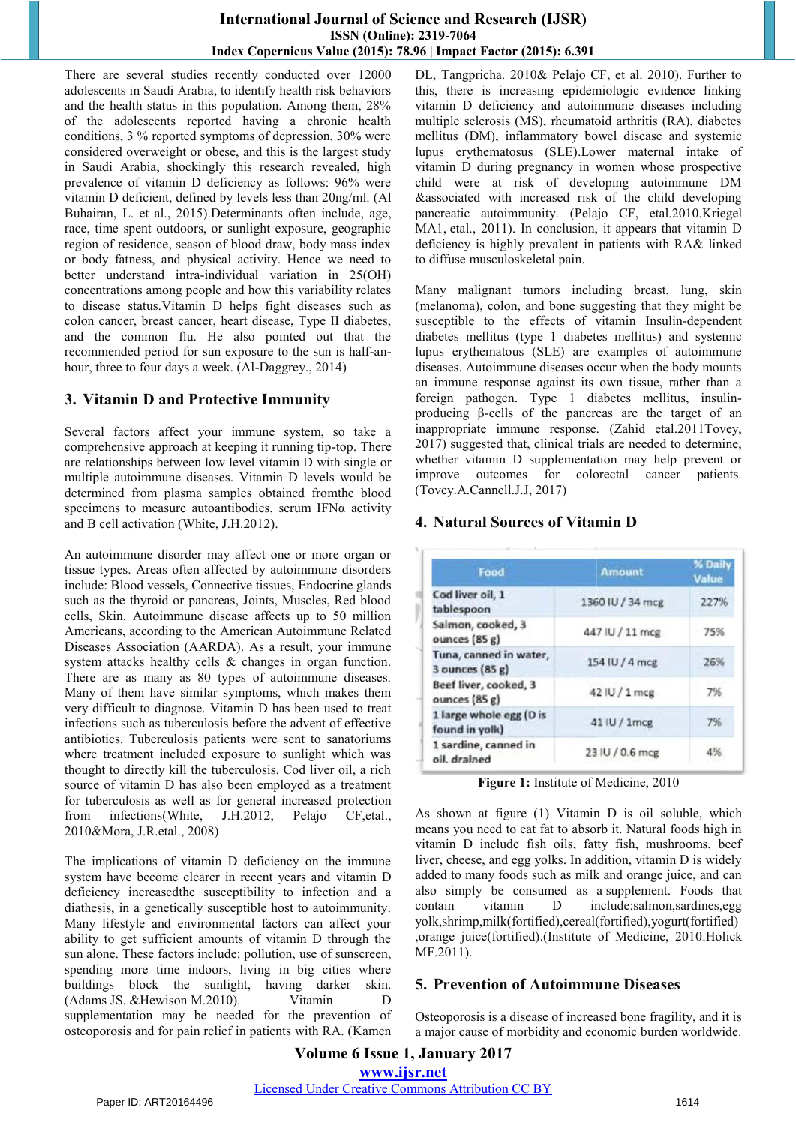#### **International Journal of Science and Research (IJSR) ISSN (Online): 2319-7064 Index Copernicus Value (2015): 78.96 | Impact Factor (2015): 6.391**

There are several studies recently conducted over 12000 adolescents in Saudi Arabia, to identify health risk behaviors and the health status in this population. Among them, 28% of the adolescents reported having a chronic health conditions, 3 % reported symptoms of depression, 30% were considered overweight or obese, and this is the largest study in Saudi Arabia, shockingly this research revealed, high prevalence of vitamin D deficiency as follows: 96% were vitamin D deficient, defined by levels less than 20ng/ml. (Al Buhairan, L. et al., 2015).Determinants often include, age, race, time spent outdoors, or sunlight exposure, geographic region of residence, season of blood draw, body mass index or body fatness, and physical activity. Hence we need to better understand intra-individual variation in 25(OH) concentrations among people and how this variability relates to disease status.Vitamin D helps fight diseases such as colon cancer, breast cancer, heart disease, Type II diabetes, and the common flu. He also pointed out that the recommended period for sun exposure to the sun is half-anhour, three to four days a week. (Al-Daggrey., 2014)

# **3. Vitamin D and Protective Immunity**

Several factors affect your immune system, so take a comprehensive approach at keeping it running tip-top. There are relationships between low level vitamin D with single or multiple autoimmune diseases. Vitamin D levels would be determined from plasma samples obtained fromthe blood specimens to measure autoantibodies, serum IFNα activity and B cell activation (White, J.H.2012).

An autoimmune disorder may affect one or more organ or tissue types. Areas often affected by autoimmune disorders include: Blood vessels, Connective tissues, [Endocrine](https://www.nlm.nih.gov/medlineplus/ency/article/002351.htm) glands such as the thyroid or pancreas, Joints, Muscles, Red blood cells, Skin. Autoimmune disease affects up to 50 million Americans, according to the [American Autoimmune Related](https://www.aarda.org/autoimmune-information/autoimmune-statistics)  [Diseases Association \(AARDA\).](https://www.aarda.org/autoimmune-information/autoimmune-statistics) As a result, your immune system attacks healthy cells & changes in organ function. There are as many as 80 types of autoimmune diseases. Many of them have similar symptoms, which makes them very difficult to diagnose. Vitamin D has been used to treat infections such as tuberculosis before the advent of effective antibiotics. Tuberculosis patients were sent to sanatoriums where treatment included exposure to sunlight which was thought to directly kill the tuberculosis. Cod liver oil, a rich source of vitamin D has also been employed as a treatment for tuberculosis as well as for general increased protection from infections(White, J.H.2012, Pelajo CF,etal., 2010&Mora, J.R.etal., 2008)

The implications of vitamin D deficiency on the immune system have become clearer in recent years and vitamin D deficiency increasedthe susceptibility to infection and a diathesis, in a genetically susceptible host to autoimmunity. Many lifestyle and environmental factors can affect your ability to get sufficient amounts of vitamin D through the sun alone. These factors include: pollution, use of sunscreen, spending more time indoors, living in big cities where buildings block the sunlight, having darker skin. (Adams JS. &Hewison M.2010). Vitamin D supplementation may be needed for the prevention of osteoporosis and for pain relief in patients with RA. (Kamen DL, Tangpricha. 2010& Pelajo CF, et al. 2010). Further to this, there is increasing epidemiologic evidence linking vitamin D deficiency and autoimmune diseases including multiple sclerosis (MS), rheumatoid arthritis (RA), diabetes mellitus (DM), inflammatory bowel disease and systemic lupus erythematosus (SLE).Lower maternal intake of vitamin D during pregnancy in women whose prospective child were at risk of developing autoimmune DM &associated with increased risk of the child developing pancreatic autoimmunity. (Pelajo CF, etal.2010[.Kriegel](https://www.ncbi.nlm.nih.gov/pubmed/?term=Kriegel%20MA%5BAuthor%5D&cauthor=true&cauthor_uid=21047669)  [MA1](https://www.ncbi.nlm.nih.gov/pubmed/?term=Kriegel%20MA%5BAuthor%5D&cauthor=true&cauthor_uid=21047669), etal., 2011). In conclusion, it appears that vitamin D deficiency is highly prevalent in patients with RA& linked to diffuse musculoskeletal pain.

Many [malignant](http://lpi.oregonstate.edu/mic/glossary#malignant) tumors including breast, lung, skin (melanoma), [colon,](http://lpi.oregonstate.edu/mic/glossary#colon) and bone suggesting that they might be susceptible to the effects of vitamin Insulin-dependent [diabetes mellitus](http://lpi.oregonstate.edu/mic/glossary#diabetes-mellitus) (type 1 diabetes mellitus) and [systemic](http://lpi.oregonstate.edu/mic/glossary#systemic-lupus-erythematosus)  [lupus erythematous](http://lpi.oregonstate.edu/mic/glossary#systemic-lupus-erythematosus) (SLE) are examples of [autoimmune](http://lpi.oregonstate.edu/mic/glossary#autoimmune-disease)  [diseases.](http://lpi.oregonstate.edu/mic/glossary#autoimmune-disease) Autoimmune diseases occur when the body mounts an immune response against its own tissue, rather than a foreign [pathogen.](http://lpi.oregonstate.edu/mic/glossary#pathogen) Type 1 diabetes mellitus, insulinproducing β-cells of the [pancreas](http://lpi.oregonstate.edu/mic/glossary#pancreas) are the target of an inappropriate immune response. (Zahid etal.2011Tovey, 2017) suggested that, clinical trials are needed to determine, whether vitamin D supplementation may help prevent or improve outcomes for colorectal cancer patients. (Tovey.A.Cannell.J.J, 2017)

# **4. Natural Sources of Vitamin D**

| Food                                      | <b>Amount</b>    | % Daily<br>Value<br>227% |
|-------------------------------------------|------------------|--------------------------|
| Cod liver oil, 1<br>tablespoon            | 1360 IU / 34 mcg |                          |
| Salmon, cooked, 3<br>ounces (85 g)        | 447 IU / 11 mcg  | 75%                      |
| Tuna, canned in water,<br>3 ounces (85 g) | 154 IU / 4 mcg   | 26%                      |
| Beef liver, cooked, 3<br>ounces (85 g)    | 42 IU / 1 mcg    | 7%                       |
| 1 large whole egg (D is<br>found in yolk) | 41 IU / 1mcg     | 7%                       |
| 1 sardine, canned in<br>oil, drained      | 23 IU / 0.6 mcg  | 4%                       |

**Figure 1:** Institute of Medicine, 2010

As shown at figure (1) Vitamin D is oil soluble, which means you need to eat fat to absorb it. Natural foods high in vitamin D include fish oils, fatty fish, mushrooms, beef liver, cheese, and egg yolks. In addition, vitamin D is widely added to many foods such as milk and orange juice, and can also simply be consumed as a [supplement.](https://bit.ly/2fiMXqC) Foods that contain vitamin D include:salmon,sardines,egg yolk,shrimp,milk(fortified),cereal(fortified),yogurt(fortified) ,orange juice(fortified).(Institute of Medicine, 2010.Holick MF.2011).

## **5. Prevention of Autoimmune Diseases**

Osteoporosis is a disease of increased bone fragility, and it is a major cause of morbidity and economic burden worldwide.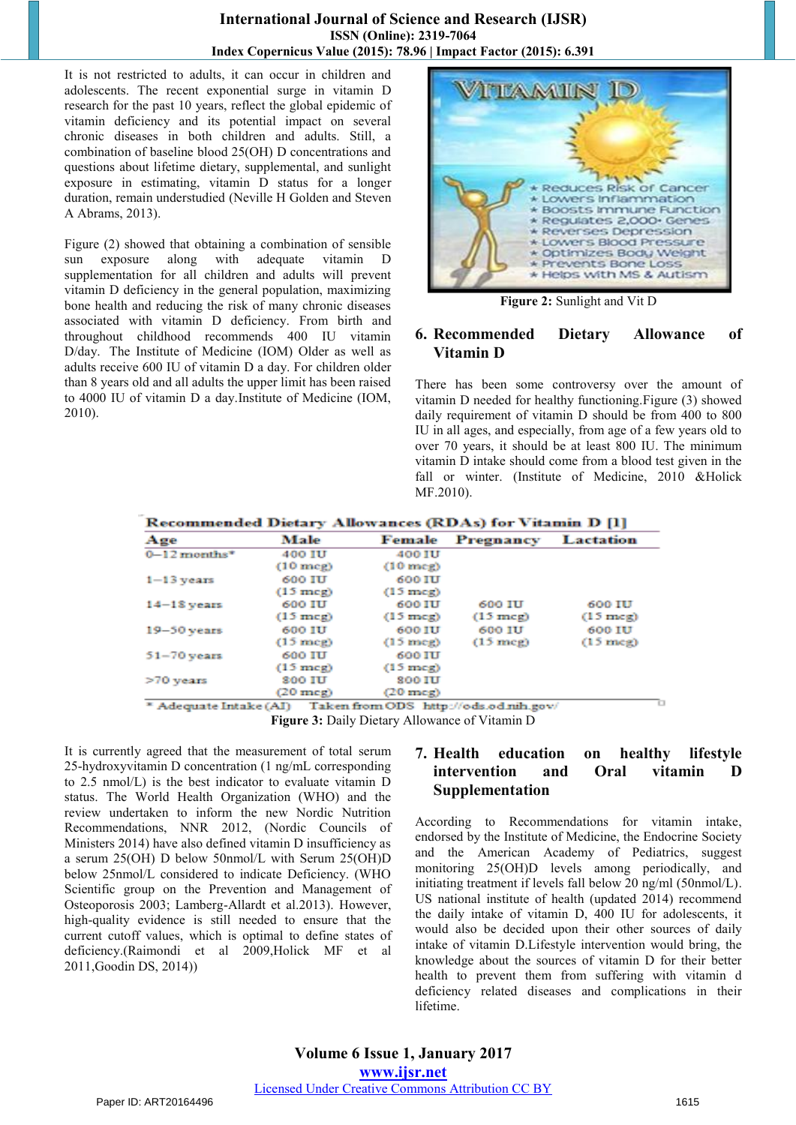#### **International Journal of Science and Research (IJSR) ISSN (Online): 2319-7064 Index Copernicus Value (2015): 78.96 | Impact Factor (2015): 6.391**

It is not restricted to adults, it can occur in children and adolescents. The recent exponential surge in vitamin D research for the past 10 years, reflect the global epidemic of vitamin deficiency and its potential impact on several chronic diseases in both children and adults. Still, a combination of baseline blood 25(OH) D concentrations and questions about lifetime dietary, supplemental, and sunlight exposure in estimating, vitamin D status for a longer duration, remain understudied (Neville H Golden and Steven A Abrams, 2013).

Figure (2) showed that obtaining a combination of sensible sun exposure along with adequate vitamin D supplementation for all children and adults will prevent vitamin D deficiency in the general population, maximizing bone health and reducing the risk of many chronic diseases associated with vitamin D deficiency. From birth and throughout childhood recommends 400 IU vitamin D/day[.](http://bestpractice.bmj.com/best-practice/monograph/641/resources/references.html#ref-70) The Institute of Medicine (IOM) Older as well as adults receive 600 IU of vitamin D a day. For children older than 8 years old and all adults the upper limit has been raised to 4000 IU of vitamin D a day.Institute of Medicine (IOM, 2010).



**Figure 2:** Sunlight and Vit D

## **6. Recommended Dietary Allowance of Vitamin D**

There has been some controversy over the amount of vitamin D needed for healthy functioning.Figure (3) showed daily requirement of vitamin D should be from 400 to 800 IU in all ages, and especially, from age of a few years old to over 70 years, it should be at least 800 IU. The minimum vitamin D intake should come from a blood test given in the fall or winter. (Institute of Medicine, 2010 &Holick MF.2010).

| Recommended Dietary Allowances (RDAs) for Vitamin D [1] |               |                    |                                       |                    |  |
|---------------------------------------------------------|---------------|--------------------|---------------------------------------|--------------------|--|
| Age                                                     | Male          | Female             | Pregnancy                             | Lactation          |  |
| $0-12$ months <sup>*</sup>                              | <b>400 TU</b> | <b>400 IU</b>      |                                       |                    |  |
|                                                         | $(10$ mcg $)$ | $(10$ mcg)         |                                       |                    |  |
| $1 - 13$ years                                          | 600 IU        | <b>600 IU</b>      |                                       |                    |  |
|                                                         | $(15$ meg)    | $(15 \text{ mag})$ |                                       |                    |  |
| $14 - 13$ years                                         | 600 IU        | 600 IU             | 600 IU                                | 600 IU             |  |
|                                                         | $(15$ meg)    | $(15 \text{ mag})$ | $(15 \text{ meg})$                    | $(15 \text{ mag})$ |  |
| $19 - 50$ years                                         | 600 HH        | 600 111            | 600 IU                                | <b>600 IU</b>      |  |
|                                                         | $(15$ meg)    | $(15 \text{ m})$   | $(15$ meg)                            | $(15 \text{ m})$   |  |
| $51 - 70$ years                                         | 600 IU        | <b>600 IU</b>      |                                       |                    |  |
|                                                         | $(15$ meg)    | $(15 \text{ m})$   |                                       |                    |  |
| $>70$ years                                             | <b>200 IU</b> | <b>800 IU</b>      |                                       |                    |  |
|                                                         | $(20$ meg)    | $(20$ mog)         |                                       |                    |  |
| <sup>*</sup> Adequate Intake (AI)                       |               |                    | Taken from ODS http://ods.od.nih.gov/ |                    |  |

**Figure 3:** Daily Dietary Allowance of Vitamin D

It is currently agreed that the measurement of total [serum](http://lpi.oregonstate.edu/mic/glossary#serum) 25-hydroxyvitamin D concentration (1 ng/mL corresponding to 2.5 nmol/L) is the best indicator to evaluate vitamin D status. The World Health Organization (WHO) and the review undertaken to inform the new Nordic Nutrition Recommendations, NNR 2012, (Nordic Councils of Ministers 2014) have also defined vitamin D insufficiency as a serum 25(OH) D below 50nmol/L with Serum 25(OH)D below 25nmol/L considered to indicate Deficiency. (WHO Scientific group on the Prevention and Management of Osteoporosis 2003; Lamberg-Allardt et al.2013). However, high-quality evidence is still needed to ensure that the current cutoff values, which is optimal to define states of deficiency[.\(Raimondi et al 2009,H](http://lpi.oregonstate.edu/mic/vitamins/vitamin-D#reference72)olick MF et al 201[1,Goodin DS, 2014\)\)](http://lpi.oregonstate.edu/mic/vitamins/vitamin-D#reference103)

# **7. Health education on healthy lifestyle intervention and Oral vitamin D Supplementation**

According to Recommendations for vitamin intake, endorsed by the Institute of Medicine, the Endocrine Society and the American Academy of Pediatrics, suggest monitoring 25(OH)D levels among periodically, and initiating treatment if levels fall below 20 ng/ml (50nmol/L). US national institute of health (updated 2014) recommend the daily intake of vitamin D, 400 IU for adolescents, it would also be decided upon their other sources of daily intake of vitamin D.Lifestyle intervention would bring, the knowledge about the sources of vitamin D for their better health to prevent them from suffering with vitamin d deficiency related diseases and complications in their lifetime.